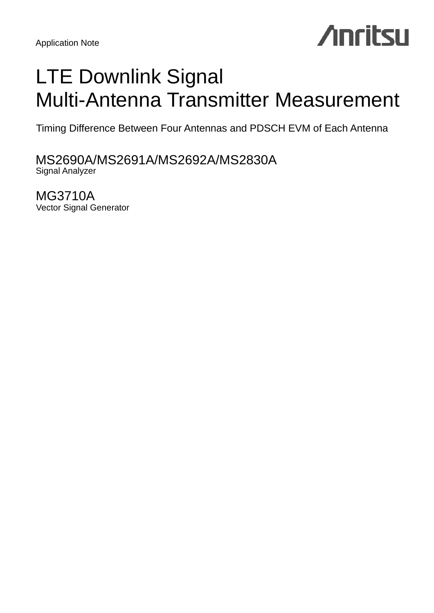# **Anritsu**

## LTE Downlink Signal Multi-Antenna Transmitter Measurement

Timing Difference Between Four Antennas and PDSCH EVM of Each Antenna

MS2690A/MS2691A/MS2692A/MS2830A Signal Analyzer

MG3710A Vector Signal Generator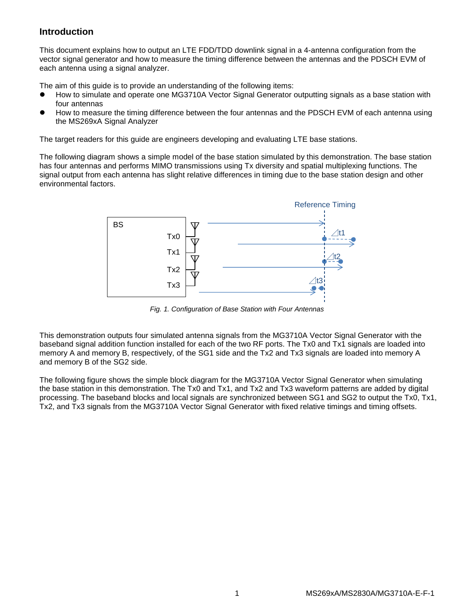## **Introduction**

This document explains how to output an LTE FDD/TDD downlink signal in a 4-antenna configuration from the vector signal generator and how to measure the timing difference between the antennas and the PDSCH EVM of each antenna using a signal analyzer.

The aim of this guide is to provide an understanding of the following items:

- How to simulate and operate one MG3710A Vector Signal Generator outputting signals as a base station with four antennas
- How to measure the timing difference between the four antennas and the PDSCH EVM of each antenna using the MS269xA Signal Analyzer

The target readers for this guide are engineers developing and evaluating LTE base stations.

The following diagram shows a simple model of the base station simulated by this demonstration. The base station has four antennas and performs MIMO transmissions using Tx diversity and spatial multiplexing functions. The signal output from each antenna has slight relative differences in timing due to the base station design and other environmental factors.



*Fig. 1. Configuration of Base Station with Four Antennas*

This demonstration outputs four simulated antenna signals from the MG3710A Vector Signal Generator with the baseband signal addition function installed for each of the two RF ports. The Tx0 and Tx1 signals are loaded into memory A and memory B, respectively, of the SG1 side and the Tx2 and Tx3 signals are loaded into memory A and memory B of the SG2 side.

The following figure shows the simple block diagram for the MG3710A Vector Signal Generator when simulating the base station in this demonstration. The Tx0 and Tx1, and Tx2 and Tx3 waveform patterns are added by digital processing. The baseband blocks and local signals are synchronized between SG1 and SG2 to output the Tx0, Tx1, Tx2, and Tx3 signals from the MG3710A Vector Signal Generator with fixed relative timings and timing offsets.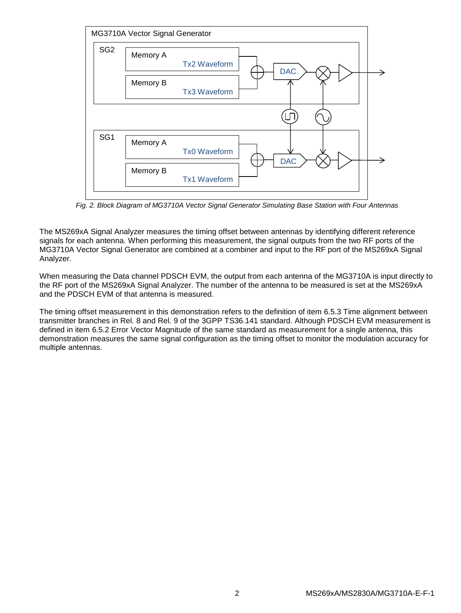

*Fig. 2. Block Diagram of MG3710A Vector Signal Generator Simulating Base Station with Four Antennas*

The MS269xA Signal Analyzer measures the timing offset between antennas by identifying different reference signals for each antenna. When performing this measurement, the signal outputs from the two RF ports of the MG3710A Vector Signal Generator are combined at a combiner and input to the RF port of the MS269xA Signal Analyzer.

When measuring the Data channel PDSCH EVM, the output from each antenna of the MG3710A is input directly to the RF port of the MS269xA Signal Analyzer. The number of the antenna to be measured is set at the MS269xA and the PDSCH EVM of that antenna is measured.

The timing offset measurement in this demonstration refers to the definition of item 6.5.3 Time alignment between transmitter branches in Rel. 8 and Rel. 9 of the 3GPP TS36.141 standard. Although PDSCH EVM measurement is defined in item 6.5.2 Error Vector Magnitude of the same standard as measurement for a single antenna, this demonstration measures the same signal configuration as the timing offset to monitor the modulation accuracy for multiple antennas.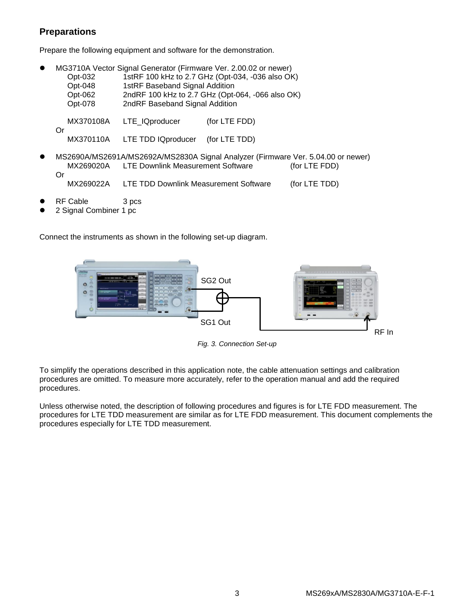## **Preparations**

Prepare the following equipment and software for the demonstration.

|    | Opt-032<br>Opt-048<br>Opt-062<br>Opt-078 | MG3710A Vector Signal Generator (Firmware Ver. 2.00.02 or newer)<br>1stRF 100 kHz to 2.7 GHz (Opt-034, -036 also OK)<br>1stRF Baseband Signal Addition<br>2ndRF 100 kHz to 2.7 GHz (Opt-064, -066 also OK)<br>2ndRF Baseband Signal Addition |               |                                                                                                   |  |  |
|----|------------------------------------------|----------------------------------------------------------------------------------------------------------------------------------------------------------------------------------------------------------------------------------------------|---------------|---------------------------------------------------------------------------------------------------|--|--|
| Or | MX370108A                                | LTE_IQproducer                                                                                                                                                                                                                               | (for LTE FDD) |                                                                                                   |  |  |
|    | MX370110A                                | LTE TDD IQproducer                                                                                                                                                                                                                           | (for LTE TDD) |                                                                                                   |  |  |
|    | MX269020A                                | <b>LTE Downlink Measurement Software</b>                                                                                                                                                                                                     |               | MS2690A/MS2691A/MS2692A/MS2830A Signal Analyzer (Firmware Ver. 5.04.00 or newer)<br>(for LTE FDD) |  |  |
| Or | MX269022A                                | LTE TDD Downlink Measurement Software                                                                                                                                                                                                        |               | (for LTE TDD)                                                                                     |  |  |

- RF Cable 3 pcs
- 2 Signal Combiner 1 pc

Connect the instruments as shown in the following set-up diagram.



*Fig. 3. Connection Set-up*

To simplify the operations described in this application note, the cable attenuation settings and calibration procedures are omitted. To measure more accurately, refer to the operation manual and add the required procedures.

Unless otherwise noted, the description of following procedures and figures is for LTE FDD measurement. The procedures for LTE TDD measurement are similar as for LTE FDD measurement. This document complements the procedures especially for LTE TDD measurement.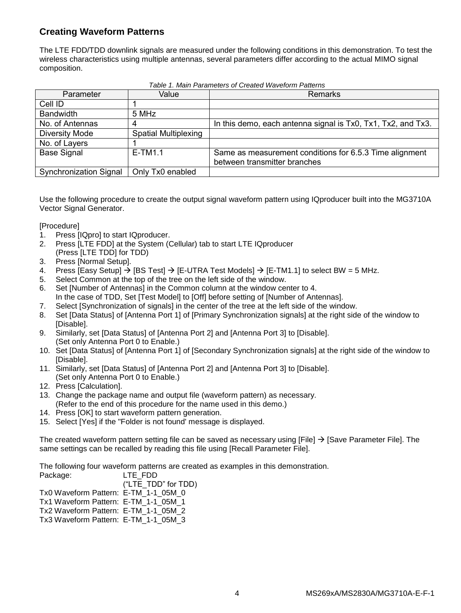## **Creating Waveform Patterns**

The LTE FDD/TDD downlink signals are measured under the following conditions in this demonstration. To test the wireless characteristics using multiple antennas, several parameters differ according to the actual MIMO signal composition.

| Parameter                     | Value                       | <b>Remarks</b>                                               |
|-------------------------------|-----------------------------|--------------------------------------------------------------|
| Cell ID                       |                             |                                                              |
| <b>Bandwidth</b>              | 5 MHz                       |                                                              |
| No. of Antennas               |                             | In this demo, each antenna signal is Tx0, Tx1, Tx2, and Tx3. |
| <b>Diversity Mode</b>         | <b>Spatial Multiplexing</b> |                                                              |
| No. of Layers                 |                             |                                                              |
| <b>Base Signal</b>            | $E-TM1.1$                   | Same as measurement conditions for 6.5.3 Time alignment      |
|                               |                             | between transmitter branches                                 |
| <b>Synchronization Signal</b> | Only Tx0 enabled            |                                                              |

*Table 1. Main Parameters of Created Waveform Patterns*

Use the following procedure to create the output signal waveform pattern using IQproducer built into the MG3710A Vector Signal Generator.

[Procedure]

- 1. Press [IQpro] to start IQproducer.
- 2. Press [LTE FDD] at the System (Cellular) tab to start LTE IQproducer (Press [LTE TDD] for TDD)
- 3. Press [Normal Setup].
- 4. Press [Easy Setup]  $\rightarrow$  [BS Test]  $\rightarrow$  [E-UTRA Test Models]  $\rightarrow$  [E-TM1.1] to select BW = 5 MHz.
- 5. Select Common at the top of the tree on the left side of the window.
- 6. Set [Number of Antennas] in the Common column at the window center to 4. In the case of TDD, Set [Test Model] to [Off] before setting of [Number of Antennas].
- 7. Select [Synchronization of signals] in the center of the tree at the left side of the window.
- 8. Set [Data Status] of [Antenna Port 1] of [Primary Synchronization signals] at the right side of the window to [Disable].
- 9. Similarly, set [Data Status] of [Antenna Port 2] and [Antenna Port 3] to [Disable]. (Set only Antenna Port 0 to Enable.)
- 10. Set [Data Status] of [Antenna Port 1] of [Secondary Synchronization signals] at the right side of the window to [Disable].
- 11. Similarly, set [Data Status] of [Antenna Port 2] and [Antenna Port 3] to [Disable]. (Set only Antenna Port 0 to Enable.)
- 12. Press [Calculation].
- 13. Change the package name and output file (waveform pattern) as necessary. (Refer to the end of this procedure for the name used in this demo.)
- 14. Press [OK] to start waveform pattern generation.
- 15. Select [Yes] if the "Folder is not found' message is displayed.

The created waveform pattern setting file can be saved as necessary using [File]  $\rightarrow$  [Save Parameter File]. The same settings can be recalled by reading this file using [Recall Parameter File].

The following four waveform patterns are created as examples in this demonstration.

| LTE FDD                              |
|--------------------------------------|
| ("LTE TDD" for TDD)                  |
| Tx0 Waveform Pattern: E-TM 1-1 05M 0 |
| Tx1 Waveform Pattern: E-TM 1-1 05M 1 |
| Tx2 Waveform Pattern: E-TM 1-1 05M 2 |
| Tx3 Waveform Pattern: E-TM 1-1 05M 3 |
|                                      |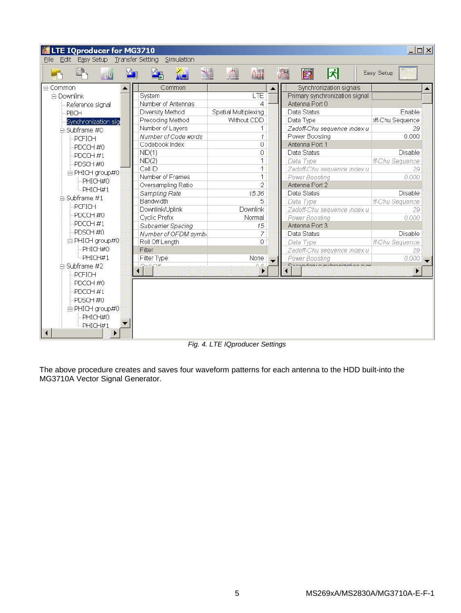

*Fig. 4. LTE IQproducer Settings*

The above procedure creates and saves four waveform patterns for each antenna to the HDD built-into the MG3710A Vector Signal Generator.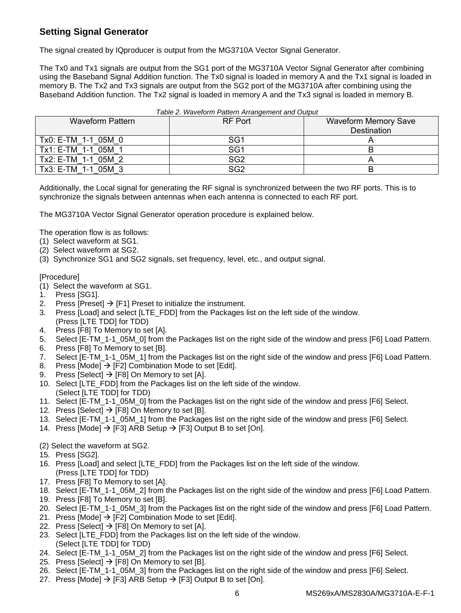## **Setting Signal Generator**

The signal created by IQproducer is output from the MG3710A Vector Signal Generator.

The Tx0 and Tx1 signals are output from the SG1 port of the MG3710A Vector Signal Generator after combining using the Baseband Signal Addition function. The Tx0 signal is loaded in memory A and the Tx1 signal is loaded in memory B. The Tx2 and Tx3 signals are output from the SG2 port of the MG3710A after combining using the Baseband Addition function. The Tx2 signal is loaded in memory A and the Tx3 signal is loaded in memory B.

| Table 2. Waveform Pattern Arrangement and Output |                 |                             |  |  |  |  |
|--------------------------------------------------|-----------------|-----------------------------|--|--|--|--|
| Waveform Pattern                                 | RF Port         | <b>Waveform Memory Save</b> |  |  |  |  |
|                                                  |                 | Destination                 |  |  |  |  |
| Tx0: E-TM 1-1 05M 0                              | SG <sub>1</sub> |                             |  |  |  |  |
| Tx1: E-TM 1-1 05M 1                              | SG <sub>1</sub> |                             |  |  |  |  |
| Tx2: E-TM 1-1 05M 2                              | SG <sub>2</sub> |                             |  |  |  |  |
| Tx3: E-TM 1-1 05M 3                              | SG <sub>2</sub> |                             |  |  |  |  |

Additionally, the Local signal for generating the RF signal is synchronized between the two RF ports. This is to synchronize the signals between antennas when each antenna is connected to each RF port.

The MG3710A Vector Signal Generator operation procedure is explained below.

The operation flow is as follows:

- (1) Select waveform at SG1.
- (2) Select waveform at SG2.
- (3) Synchronize SG1 and SG2 signals, set frequency, level, etc., and output signal.

## [Procedure]

- (1) Select the waveform at SG1.
- 1. Press [SG1].
- 2. Press [Preset]  $\rightarrow$  [F1] Preset to initialize the instrument.
- 3. Press [Load] and select [LTE\_FDD] from the Packages list on the left side of the window. (Press [LTE TDD] for TDD)
- 4. Press [F8] To Memory to set [A].
- 5. Select [E-TM\_1-1\_05M\_0] from the Packages list on the right side of the window and press [F6] Load Pattern.
- 6. Press [F8] To Memory to set [B].
- 7. Select [E-TM\_1-1\_05M\_1] from the Packages list on the right side of the window and press [F6] Load Pattern.
- 8. Press [Mode]  $\rightarrow$  [F2] Combination Mode to set [Edit].
- 9. Press [Select]  $\rightarrow$  [F8] On Memory to set [A].
- 10. Select [LTE\_FDD] from the Packages list on the left side of the window.
- (Select [LTE TDD] for TDD)
- 11. Select [E-TM\_1-1\_05M\_0] from the Packages list on the right side of the window and press [F6] Select.
- 12. Press [Select]  $\rightarrow$  [F8] On Memory to set [B].
- 13. Select [E-TM\_1-1\_05M\_1] from the Packages list on the right side of the window and press [F6] Select.
- 14. Press [Mode]  $\rightarrow$  [F3] ARB Setup  $\rightarrow$  [F3] Output B to set [On].

## (2) Select the waveform at SG2.

- 15. Press [SG2].
- 16. Press [Load] and select [LTE\_FDD] from the Packages list on the left side of the window. (Press [LTE TDD] for TDD)
- 17. Press [F8] To Memory to set [A].
- 18. Select [E-TM\_1-1\_05M\_2] from the Packages list on the right side of the window and press [F6] Load Pattern.
- 19. Press [F8] To Memory to set [B].
- 20. Select [E-TM\_1-1\_05M\_3] from the Packages list on the right side of the window and press [F6] Load Pattern.
- 21. Press [Mode]  $\rightarrow$  [F2] Combination Mode to set [Edit].
- 22. Press [Select]  $\rightarrow$  [F8] On Memory to set [A].
- 23. Select [LTE\_FDD] from the Packages list on the left side of the window. (Select [LTE TDD] for TDD)
- 24. Select [E-TM\_1-1\_05M\_2] from the Packages list on the right side of the window and press [F6] Select.
- 25. Press [Select]  $\rightarrow$  [F8] On Memory to set [B].
- 26. Select [E-TM\_1-1\_05M\_3] from the Packages list on the right side of the window and press [F6] Select.
- 27. Press [Mode]  $\rightarrow$  [F3] ARB Setup  $\rightarrow$  [F3] Output B to set [On].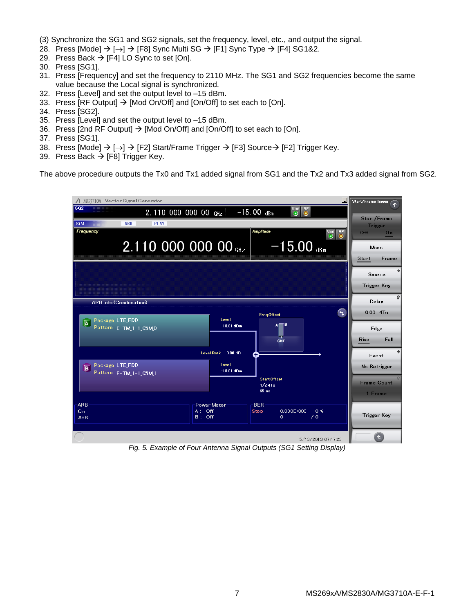(3) Synchronize the SG1 and SG2 signals, set the frequency, level, etc., and output the signal.

- 28. Press [Mode]  $\rightarrow$  [ $\rightarrow$ ]  $\rightarrow$  [F8] Sync Multi SG  $\rightarrow$  [F1] Sync Type  $\rightarrow$  [F4] SG1&2.
- 29. Press Back  $\rightarrow$  [F4] LO Sync to set [On].
- 30. Press [SG1].
- 31. Press [Frequency] and set the frequency to 2110 MHz. The SG1 and SG2 frequencies become the same value because the Local signal is synchronized.
- 32. Press [Level] and set the output level to –15 dBm.
- 33. Press [RF Output]  $\rightarrow$  [Mod On/Off] and [On/Off] to set each to [On].
- 34. Press [SG2].
- 35. Press [Level] and set the output level to –15 dBm.
- 36. Press [2nd RF Output]  $\rightarrow$  [Mod On/Off] and [On/Off] to set each to [On].
- 37. Press [SG1].
- 38. Press [Mode]  $\rightarrow$  [ $\rightarrow$ ]  $\rightarrow$  [F2] Start/Frame Trigger  $\rightarrow$  [F3] Source  $\rightarrow$  [F2] Trigger Key.
- 39. Press Back  $\rightarrow$  [F8] Trigger Key.

The above procedure outputs the Tx0 and Tx1 added signal from SG1 and the Tx2 and Tx3 added signal from SG2.

| / MG3710A Vector Signal Generator                                                                | $\overline{\phantom{a}}$                                      | Start/Frame Trigger           |
|--------------------------------------------------------------------------------------------------|---------------------------------------------------------------|-------------------------------|
| SG2<br>2.110 000 000 00 GHz<br>$-15.00$ dBm                                                      | Mod <sup>1</sup><br>RF<br>$\odot$<br>$\left( \bullet \right)$ |                               |
| <b>ARB</b><br><b>PLAY</b><br>SG1                                                                 |                                                               | Start/Frame<br><b>Trigger</b> |
| <b>Amplitude</b><br>Frequency                                                                    | Mod RF<br>$\circledcirc$                                      | Off.<br>On                    |
| 2.110 000 000 00 GHz                                                                             | $-15.00$ dBm                                                  | Mode<br>Frame<br>Start        |
|                                                                                                  |                                                               | Source<br><b>Trigger Key</b>  |
| <b>ARB Info (Combination)</b>                                                                    |                                                               | Delay                         |
| Level<br>Package LTE_FDD                                                                         | ᠳ<br><b>FreqOffset</b>                                        | $0.00$ 4Ts                    |
| $\overline{A}$<br>$-18.01$ dBm<br>Pattern E-TM_1-1_05M0                                          | A<br>CNT                                                      | Edge<br>Fall<br>Rise          |
| Level Ratio 0.00 dB                                                                              |                                                               | Event                         |
| Level<br>Package LTE_FDD<br>E<br>$-18.01$ dBm<br>Pattern E-TM_1-1_05M_1                          |                                                               | No Retrigger                  |
|                                                                                                  | <b>Start Offset</b><br>$1/2$ $4$ Ts                           | <b>Frame Count</b>            |
|                                                                                                  | 65ns                                                          | 1 Frame                       |
| <b>BER</b><br><b>ARB</b><br>Power Meter<br>$A:$ Off<br>On.<br><b>Stop</b><br>$B:$ Off<br>$A + B$ | $0.000E + 000$<br>0 <sup>2</sup><br>$\sqrt{0}$<br>$\sigma$    | <b>Trigger Key</b>            |
|                                                                                                  | 5/13/2013 07:47:23                                            |                               |

*Fig. 5. Example of Four Antenna Signal Outputs (SG1 Setting Display)*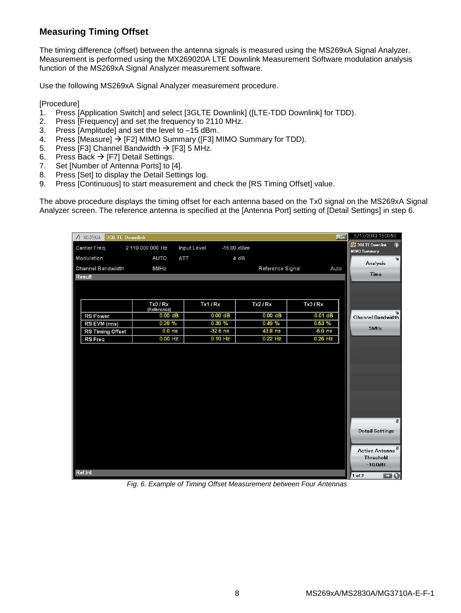## **Measuring Timing Offset**

The timing difference (offset) between the antenna signals is measured using the MS269xA Signal Analyzer. Measurement is performed using the MX269020A LTE Downlink Measurement Software modulation analysis function of the MS269xA Signal Analyzer measurement software.

Use the following MS269xA Signal Analyzer measurement procedure.

[Procedure]

- 1. Press [Application Switch] and select [3GLTE Downlink] ([LTE-TDD Downlink] for TDD).
- 2. Press [Frequency] and set the frequency to 2110 MHz.
- 3. Press [Amplitude] and set the level to –15 dBm.
- 4. Press [Measure]  $\rightarrow$  [F2] MIMO Summary ([F3] MIMO Summary for TDD).
- 5. Press [F3] Channel Bandwidth  $\rightarrow$  [F3] 5 MHz.
- 6. Press Back  $\rightarrow$  [F7] Detail Settings.
- 7. Set [Number of Antenna Ports] to [4].
- 8. Press [Set] to display the Detail Settings log.
- 9. Press [Continuous] to start measurement and check the [RS Timing Offset] value.

The above procedure displays the timing offset for each antenna based on the Tx0 signal on the MS269xA Signal Analyzer screen. The reference antenna is specified at the [Antenna Port] setting of [Detail Settings] in step 6.

| $\Lambda$ MS2692A<br><b>3GLTE Downlink</b> |                         |             |                  | 口口         |        | 5/13/2013 15:03:50                                                                          |
|--------------------------------------------|-------------------------|-------------|------------------|------------|--------|---------------------------------------------------------------------------------------------|
| Carrier Freq.                              | 2 110 000 000 Hz        | Input Level | $-15.00$ dBm     |            |        | <b>SP</b> 3GLTE Downlink<br>伺<br><b>MIMO Summary</b>                                        |
| Modulation                                 | AUTO                    | ATT         | 4 dB             |            |        | $\blacktriangleright$                                                                       |
| <b>Channel Bandwidth</b>                   | 5MHz                    |             | Reference Signal | Auto       |        | Analysis                                                                                    |
| <b>Result</b>                              |                         |             |                  |            |        | Time                                                                                        |
|                                            |                         |             |                  |            |        |                                                                                             |
|                                            |                         |             |                  |            |        |                                                                                             |
|                                            | Tx0 / Rx<br>(Reference) | Tx1 / Rx    | Tx2/Rx           | Tx3/Rx     |        |                                                                                             |
| <b>RS Power</b>                            | $0.00$ dB               | $0.00$ dB   | $0.00$ dB        | $-0.01$ dB |        | وا<br>  Channel Bandwidth                                                                   |
| RS EVM (rms)                               | 0.28%                   | 0.30%       | 0.49%            | 0.53%      |        |                                                                                             |
| RS Timing Offset                           | 0.0 <sub>ns</sub>       | $-32.6$ ns  | 43.8 ns          | $-5.0$ ns  |        | 5MHz                                                                                        |
| <b>RS</b> Freq                             | $0.00$ Hz               | $0.10$ Hz   | $0.22$ Hz        | $0.26$ Hz  |        |                                                                                             |
|                                            |                         |             |                  |            |        |                                                                                             |
| Ref.Int                                    |                         |             |                  |            |        | $\theta$<br><b>Detail Settings</b><br>Active Antenna <sup>8</sup><br>Threshold<br>$-10.0dB$ |
|                                            |                         |             |                  |            | 1 of 2 | $\blacksquare$                                                                              |

*Fig. 6. Example of Timing Offset Measurement between Four Antennas*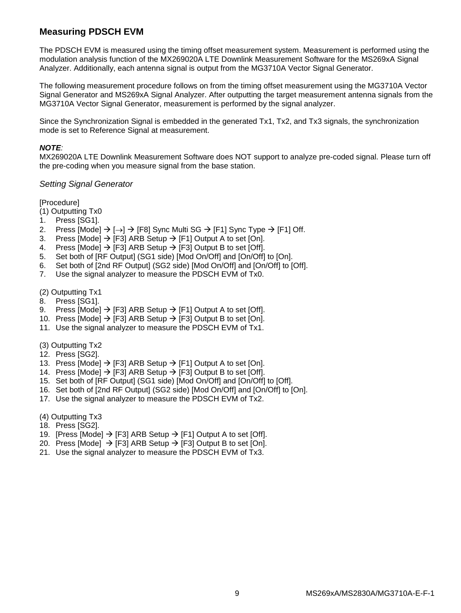## **Measuring PDSCH EVM**

The PDSCH EVM is measured using the timing offset measurement system. Measurement is performed using the modulation analysis function of the MX269020A LTE Downlink Measurement Software for the MS269xA Signal Analyzer. Additionally, each antenna signal is output from the MG3710A Vector Signal Generator.

The following measurement procedure follows on from the timing offset measurement using the MG3710A Vector Signal Generator and MS269xA Signal Analyzer. After outputting the target measurement antenna signals from the MG3710A Vector Signal Generator, measurement is performed by the signal analyzer.

Since the Synchronization Signal is embedded in the generated Tx1, Tx2, and Tx3 signals, the synchronization mode is set to Reference Signal at measurement.

#### *NOTE:*

MX269020A LTE Downlink Measurement Software does NOT support to analyze pre-coded signal. Please turn off the pre-coding when you measure signal from the base station.

## *Setting Signal Generator*

[Procedure]

- (1) Outputting Tx0
- 1. Press [SG1].
- 2. Press [Mode]  $\rightarrow$  [ $\rightarrow$ ]  $\rightarrow$  [F8] Sync Multi SG  $\rightarrow$  [F1] Sync Type  $\rightarrow$  [F1] Off.
- 3. Press [Mode]  $\rightarrow$  [F3] ARB Setup  $\rightarrow$  [F1] Output A to set [On].
- 4. Press [Mode]  $\rightarrow$  [F3] ARB Setup  $\rightarrow$  [F3] Output B to set [Off].
- 5. Set both of [RF Output] (SG1 side) [Mod On/Off] and [On/Off] to [On].
- 6. Set both of [2nd RF Output] (SG2 side) [Mod On/Off] and [On/Off] to [Off].
- 7. Use the signal analyzer to measure the PDSCH EVM of Tx0.

(2) Outputting Tx1

- 8. Press [SG1].
- 9. Press [Mode]  $\rightarrow$  [F3] ARB Setup  $\rightarrow$  [F1] Output A to set [Off].
- 10. Press [Mode]  $\rightarrow$  [F3] ARB Setup  $\rightarrow$  [F3] Output B to set [On].
- 11. Use the signal analyzer to measure the PDSCH EVM of Tx1.
- (3) Outputting Tx2
- 12. Press [SG2].
- 13. Press [Mode]  $\rightarrow$  [F3] ARB Setup  $\rightarrow$  [F1] Output A to set [On].
- 14. Press [Mode]  $\rightarrow$  [F3] ARB Setup  $\rightarrow$  [F3] Output B to set [Off].
- 15. Set both of [RF Output] (SG1 side) [Mod On/Off] and [On/Off] to [Off].
- 16. Set both of [2nd RF Output] (SG2 side) [Mod On/Off] and [On/Off] to [On].
- 17. Use the signal analyzer to measure the PDSCH EVM of Tx2.
- (4) Outputting Tx3
- 18. Press [SG2].
- 19. [Press [Mode]  $\rightarrow$  [F3] ARB Setup  $\rightarrow$  [F1] Output A to set [Off].
- 20. Press [Mode]  $\rightarrow$  [F3] ARB Setup  $\rightarrow$  [F3] Output B to set [On].
- 21. Use the signal analyzer to measure the PDSCH EVM of Tx3.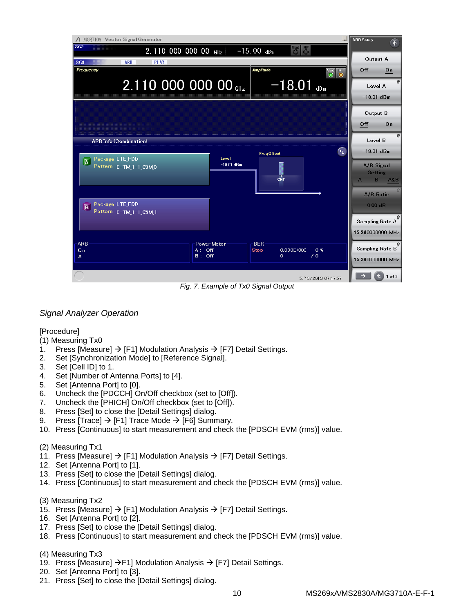| MG3710A Vector Signal Generator<br>ᅴ                       |                                    |                                      |                               |                                                | 斥 |
|------------------------------------------------------------|------------------------------------|--------------------------------------|-------------------------------|------------------------------------------------|---|
| SG2<br>$2.110\ 000\ 000\ 00\ \text{GHz}$                   |                                    |                                      |                               |                                                |   |
| <b>PLAY</b><br>SG1<br>ARB                                  | Output A                           |                                      |                               |                                                |   |
| Frequency                                                  |                                    | Amplitude                            | Mod RF<br>$\circledcirc$<br>О | Off<br>On                                      |   |
| 2.110 000 000 00 GHz                                       |                                    | $-18.01$ dBm                         |                               | Level A<br>$-18.01$ dBm                        |   |
|                                                            |                                    |                                      |                               |                                                |   |
|                                                            |                                    |                                      |                               | Output B                                       |   |
|                                                            |                                    |                                      |                               | On<br>Off                                      |   |
| <b>ARB Info (Combination)</b>                              |                                    |                                      |                               | Level B                                        |   |
|                                                            |                                    | <b>FreqOffset</b>                    | ᠳ                             | $-18.01$ dBm                                   |   |
| Package LTE_FDD<br>$\overline{A}$<br>Pattern E-TM 1-1_05M0 | Level<br>$-18.01$ dBm              | CNT                                  |                               | A/B Signal<br><b>Setting</b><br>B.<br>A&B<br>A |   |
|                                                            |                                    |                                      |                               | A/B Ratio                                      |   |
| Package LTE_FDD<br>E<br>Pattern E-TM 1-1_05M 1             |                                    |                                      |                               | $0.00$ dB                                      |   |
|                                                            |                                    |                                      |                               | Sampling Rate A                                |   |
|                                                            |                                    |                                      |                               | 15.360000000 MHz                               |   |
| <b>ARB</b><br>On                                           | <b>Power Meter</b><br>Off<br>A : . | <b>BER</b><br>$0.000E + 000$<br>Stop | 0 <sub>x</sub>                | Sampling Rate B                                |   |
| A                                                          | $B:$ Off                           | $\mathbf{0}$                         | $\sqrt{0}$                    | 15.360000000 MHz                               |   |
|                                                            |                                    |                                      |                               |                                                |   |
|                                                            |                                    |                                      | 5/13/2013 07:47:57            | $1$ of $2$                                     |   |

*Fig. 7. Example of Tx0 Signal Output*

## *Signal Analyzer Operation*

[Procedure]

- (1) Measuring Tx0
- 1. Press [Measure]  $\rightarrow$  [F1] Modulation Analysis  $\rightarrow$  [F7] Detail Settings.
- 2. Set [Synchronization Mode] to [Reference Signal].
- 3. Set [Cell ID] to 1.
- 4. Set [Number of Antenna Ports] to [4].
- 5. Set [Antenna Port] to [0].
- 6. Uncheck the [PDCCH] On/Off checkbox (set to [Off]).
- 7. Uncheck the [PHICH] On/Off checkbox (set to [Off]).
- 8. Press [Set] to close the [Detail Settings] dialog.
- 9. Press [Trace]  $\rightarrow$  [F1] Trace Mode  $\rightarrow$  [F6] Summary.
- 10. Press [Continuous] to start measurement and check the [PDSCH EVM (rms)] value.

## (2) Measuring Tx1

- 11. Press [Measure]  $\rightarrow$  [F1] Modulation Analysis  $\rightarrow$  [F7] Detail Settings.
- 12. Set [Antenna Port] to [1].
- 13. Press [Set] to close the [Detail Settings] dialog.
- 14. Press [Continuous] to start measurement and check the [PDSCH EVM (rms)] value.
- (3) Measuring Tx2
- 15. Press [Measure]  $\rightarrow$  [F1] Modulation Analysis  $\rightarrow$  [F7] Detail Settings.
- 16. Set [Antenna Port] to [2].
- 17. Press [Set] to close the [Detail Settings] dialog.
- 18. Press [Continuous] to start measurement and check the [PDSCH EVM (rms)] value.

## (4) Measuring Tx3

- 19. Press [Measure]  $\rightarrow$  F1] Modulation Analysis  $\rightarrow$  [F7] Detail Settings.
- 20. Set [Antenna Port] to [3].
- 21. Press [Set] to close the [Detail Settings] dialog.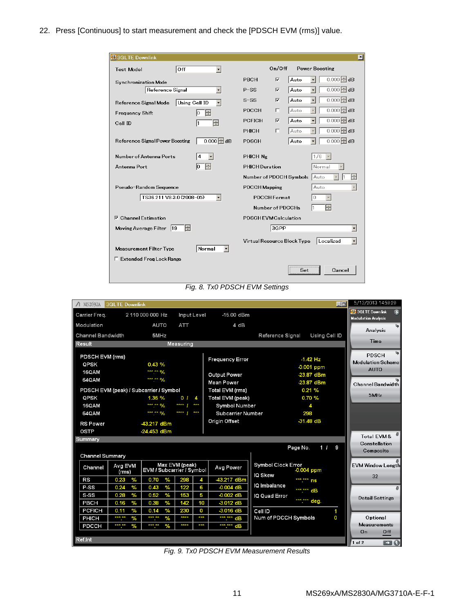22. Press [Continuous] to start measurement and check the [PDSCH EVM (rms)] value.

| #3GLTE Downlink                                                           | $\vert x \vert$                                                                                       |
|---------------------------------------------------------------------------|-------------------------------------------------------------------------------------------------------|
| Off<br><b>Test Model</b><br>$\blacktriangledown$                          | On/Off<br><b>Power Boosting</b>                                                                       |
| Synchronization Mode                                                      | $0.000$ $\pm$ dB<br>$\overline{\mathbf{v}}$<br>Auto<br>PBCH                                           |
| Reference Signal<br>۰                                                     | $\overline{0.000}$ $\Box$ dB<br>Auto<br>$\overline{\mathbf{v}}$<br>$\overline{\phantom{a}}$<br>$P-SS$ |
| <b>Using Cell ID</b><br>$\overline{\phantom{a}}$<br>Reference Signal Mode | $\overline{0.000}$ dB<br>Auto<br>$\overline{\mathbf{v}}$<br>$S-SS$<br>$\overline{\phantom{0}}$        |
| H<br>Frequency Shift<br>Iо                                                | $\overline{0.000}$ dB<br>Auto<br><b>PDCCH</b><br>п                                                    |
| H<br>Cell ID<br>11                                                        | $\overline{0.000}$ dB<br>Auto<br>$\overline{\mathbf{v}}$<br>$\overline{\phantom{a}}$<br><b>PCFICH</b> |
|                                                                           | $0.000 \pm d$ B<br>Auto<br>PHICH<br>г                                                                 |
| $0.000$ $\triangle$ dB<br>Reference Signal Power Boosting                 | $\overline{0.000}$ dB<br>Auto<br><b>PDSCH</b>                                                         |
| Number of Antenna Ports<br>4                                              | PHICH Ng<br>1/6                                                                                       |
| lo<br>Antenna Port                                                        | Normal<br><b>PHICH Duration</b>                                                                       |
|                                                                           | ÷<br>Auto<br>Number of PDCCH Symbols                                                                  |
| Pseudo-Random Sequence                                                    | Auto<br><b>PDCCH Mapping</b>                                                                          |
| TS36.211 V8.3.0 (2008-05)                                                 | <b>PDCCHFormat</b><br>0                                                                               |
|                                                                           | ÷<br>Number of PDCCHs                                                                                 |
| $\nabla$ Channel Estimation                                               | <b>PDSCHEVMCalculation</b>                                                                            |
| H<br>Moving Average Filter   19                                           | 3GPP<br>$\overline{\phantom{a}}$                                                                      |
| Normal<br><b>Measurement Filter Type</b><br>$\overline{\phantom{a}}$      | Localized<br>Virtual Resource Block Type                                                              |
| □ Extended Frea Lock Range                                                |                                                                                                       |
|                                                                           | Cancel<br>Set                                                                                         |

*Fig. 8. Tx0 PDSCH EVM Settings*

| $\Lambda$ MS2692A        | <b>3GLTE Downlink</b> |                                        |                                  |                          |                                           | 口口 | 5/13/2013 14:59:29                             |
|--------------------------|-----------------------|----------------------------------------|----------------------------------|--------------------------|-------------------------------------------|----|------------------------------------------------|
| Carrier Freq.            |                       | 2 110 000 000 Hz                       | Input Level                      | -15.00 dBm               |                                           |    | 望 3GLTE Downlink<br><b>Modulation Analysis</b> |
| Modulation               |                       | <b>AUTO</b>                            | ATT                              | 4 dB                     |                                           |    | اجا                                            |
| <b>Channel Bandwidth</b> |                       | 5MHz                                   |                                  |                          | Using Cell ID<br><b>Reference Signal</b>  |    | Analysis                                       |
| <b>Result</b>            |                       |                                        | <b>Measuring</b>                 |                          |                                           |    | <b>Time</b>                                    |
| PDSCH EVM (rms)          |                       |                                        |                                  |                          |                                           |    | PDSCH                                          |
| QPSK                     |                       | 0.43%                                  |                                  | <b>Frequency Error</b>   | $-1.42$ Hz                                |    | <b>Modulation Scheme</b>                       |
| 16QAM                    |                       | *** ** %                               |                                  |                          | $-0.001$ ppm                              |    | <b>AUTO</b>                                    |
| 64QAM                    |                       | *** ** %                               |                                  | <b>Output Power</b>      | -23.87 dBm                                |    |                                                |
|                          |                       |                                        |                                  | <b>Mean Power</b>        | -23.87 dBm                                |    | Channel Bandwidth                              |
|                          |                       | PDSCH EVM (peak) / Subcarrier / Symbol |                                  | Total EVM (rms)          | 0.21%                                     |    | 5MHz                                           |
| QPSK                     |                       | 1.36 %                                 | 0 <sub>1</sub><br>$\overline{A}$ | Total EVM (peak)         | 0.70%                                     |    |                                                |
| 16QAM                    |                       | *** ** %                               | ****  <br>***                    | <b>Symbol Number</b>     | 4                                         |    |                                                |
| 64QAM                    |                       | *** ** %                               | ***<br>****                      | <b>Subcarrier Number</b> | 298                                       |    |                                                |
| <b>RS Power</b>          |                       | 43.217 dBm                             |                                  | <b>Origin Offset</b>     | $-31.48$ dB                               |    |                                                |
| <b>OSTP</b>              |                       | -24.453 dBm                            |                                  |                          |                                           |    |                                                |
| Summary                  |                       |                                        |                                  |                          |                                           |    | Total EVM &<br>Constellation                   |
|                          |                       |                                        |                                  |                          | Page No.<br>11                            | 9  | Composite                                      |
| <b>Channel Summary</b>   |                       |                                        |                                  |                          |                                           |    |                                                |
| Channel                  | Avg EVM<br>(rms)      | EVM / Subcarrier / Symbol              | Max EVM (peak)                   | Avg Power                | <b>Symbol Clock Error</b><br>$-0.004$ ppm |    | <b>EVM Window Length</b>                       |
| RS                       | $\%$<br>0.23          | 0.70<br>$\%$                           | 298<br>4                         | -43.217 dBm              | <b>IQ Skew</b><br>*** *** ns              |    | 32                                             |
| P-SS                     | 0.24<br>$\%$          | 0.43<br>$\%$                           | 122<br>6                         | $-0.004$ dB              | IQ Imbalance<br>*** *** dB                |    |                                                |
| S-SS                     | $\%$<br>0.28          | 0.52<br>%                              | 153<br>5                         | $-0.002$ dB              | IQ Quad Error                             |    | <b>Detail Settings</b>                         |
| PBCH                     | $\%$<br>0.16          | $\%$<br>0.38                           | 10<br>142                        | $-3.012$ dB              | *** *** deg.                              |    |                                                |
| <b>PCFICH</b>            | 0.11<br>$\%$          | 0.14<br>$\%$                           | 230<br>0                         | $-3.016$ dB              | Cell ID                                   | 1  |                                                |
| PHICH                    | *** **<br>$\%$        | *** **<br>$\%$                         | ****<br>$***$                    | *** *** dB               | Num of PDCCH Symbols                      | O  | Optional                                       |
| <b>PDCCH</b>             | *** **<br>$\%$        | *** **<br>$\frac{9}{6}$<br>×.          | ****<br>***                      | ***.*** dB               |                                           |    | <b>Measurements</b>                            |
|                          |                       |                                        |                                  |                          |                                           |    | 0n<br>Off                                      |
| Ref.Int                  |                       |                                        |                                  |                          |                                           |    | $\blacksquare$ $\Omega$<br>1 of 2              |

*Fig. 9. Tx0 PDSCH EVM Measurement Results*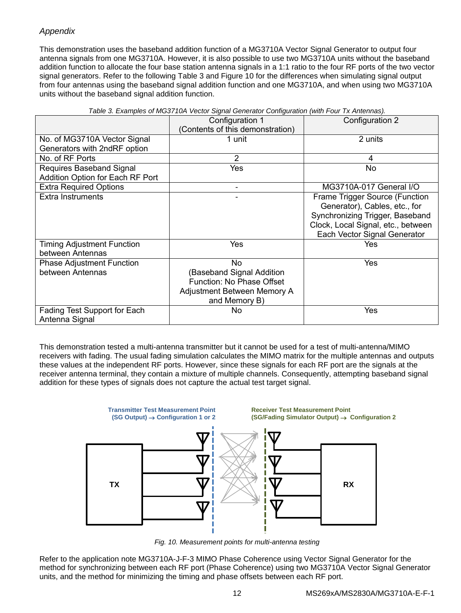## *Appendix*

This demonstration uses the baseband addition function of a MG3710A Vector Signal Generator to output four antenna signals from one MG3710A. However, it is also possible to use two MG3710A units without the baseband addition function to allocate the four base station antenna signals in a 1:1 ratio to the four RF ports of the two vector signal generators. Refer to the following Table 3 and Figure 10 for the differences when simulating signal output from four antennas using the baseband signal addition function and one MG3710A, and when using two MG3710A units without the baseband signal addition function.

|                                   | Configuration 1                  | Configuration 2                    |
|-----------------------------------|----------------------------------|------------------------------------|
|                                   | (Contents of this demonstration) |                                    |
| No. of MG3710A Vector Signal      | 1 unit                           | 2 units                            |
| Generators with 2ndRF option      |                                  |                                    |
| No. of RF Ports                   | $\overline{2}$                   | $\overline{4}$                     |
| Requires Baseband Signal          | Yes                              | <b>No</b>                          |
| Addition Option for Each RF Port  |                                  |                                    |
| <b>Extra Required Options</b>     | -                                | MG3710A-017 General I/O            |
| Extra Instruments                 |                                  | Frame Trigger Source (Function     |
|                                   |                                  | Generator), Cables, etc., for      |
|                                   |                                  | Synchronizing Trigger, Baseband    |
|                                   |                                  | Clock, Local Signal, etc., between |
|                                   |                                  | Each Vector Signal Generator       |
| <b>Timing Adjustment Function</b> | Yes                              | Yes                                |
| between Antennas                  |                                  |                                    |
| <b>Phase Adjustment Function</b>  | No.                              | Yes                                |
| between Antennas                  | (Baseband Signal Addition        |                                    |
|                                   | Function: No Phase Offset        |                                    |
|                                   | Adjustment Between Memory A      |                                    |
|                                   | and Memory B)                    |                                    |
| Fading Test Support for Each      | No.                              | Yes                                |
| Antenna Signal                    |                                  |                                    |

| Table 3. Examples of MG3710A Vector Signal Generator Configuration (with Four Tx Antennas). |  |  |
|---------------------------------------------------------------------------------------------|--|--|
|                                                                                             |  |  |

This demonstration tested a multi-antenna transmitter but it cannot be used for a test of multi-antenna/MIMO receivers with fading. The usual fading simulation calculates the MIMO matrix for the multiple antennas and outputs these values at the independent RF ports. However, since these signals for each RF port are the signals at the receiver antenna terminal, they contain a mixture of multiple channels. Consequently, attempting baseband signal addition for these types of signals does not capture the actual test target signal.



*Fig. 10. Measurement points for multi-antenna testing*

Refer to the application note MG3710A-J-F-3 MIMO Phase Coherence using Vector Signal Generator for the method for synchronizing between each RF port (Phase Coherence) using two MG3710A Vector Signal Generator units, and the method for minimizing the timing and phase offsets between each RF port.